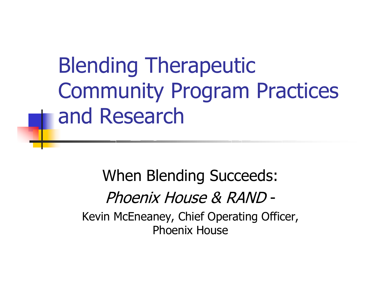Blending Therapeutic Community Program Practices and Research

When Blending Succeeds: Phoenix House & RAND-Kevin McEneaney, Chief Operating Officer, Phoenix House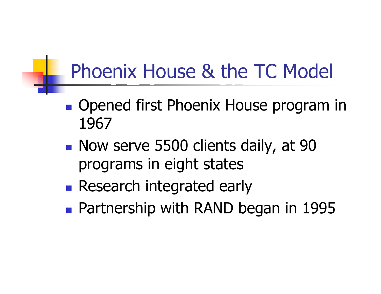### Phoenix House & the TC Model

- **Opened first Phoenix House program in** 1967
- Now serve 5500 clients daily, at 90 program s in eight states
- **Research integrated early**
- **Partnership with RAND began in 1995**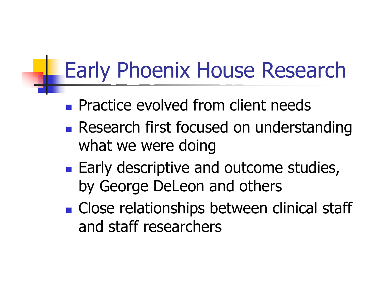# Early Phoenix House Research

- **Practice evolved from client needs**
- **Research first focused on understanding** what we were doing
- **Early descriptive and outcome studies,** by George DeLeon and others
- **Close relationships between clinical staff** and staff researchers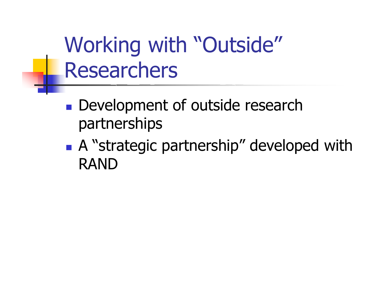Working with "Outside" Researchers

- **Development of outside research** partnerships
- A "strategic partnership" developed with RAND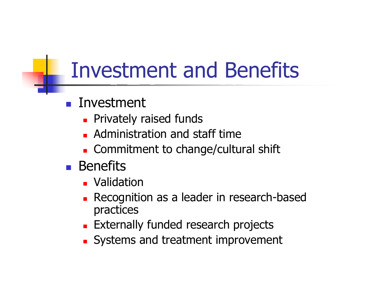# Investment and Benefits

#### $\mathcal{L}_{\text{max}}$ Investment

- **Privately raised funds**
- **Administration and staff time**
- Commitment to change/cultural s hift
- **Benefits** 
	- **D** Validation
	- **Recognition as a leader in research-based** practices
	- **Externally funded research projects**
	- **Systems and treatment improvement**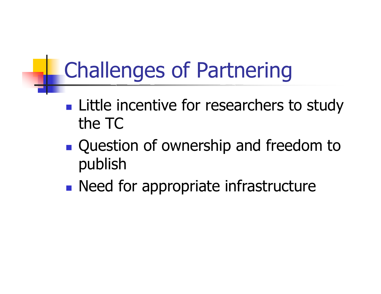# Challenges of Partnering

- **Little incentive for researchers to study** the TC
- **Question of ownership and freedom to** publish
- **Need for appropriate infrastructure**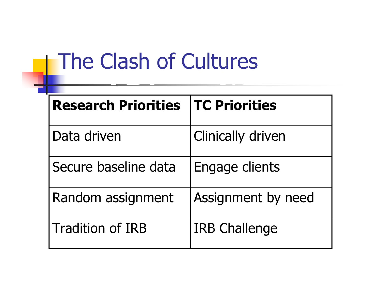# The Clash of Cultures

| <b>Research Priorities</b> | <b>TC Priorities</b>     |
|----------------------------|--------------------------|
| Data driven                | <b>Clinically driven</b> |
| Secure baseline data       | Engage clients           |
| Random assignment          | Assignment by need       |
| <b>Tradition of IRB</b>    | <b>IRB Challenge</b>     |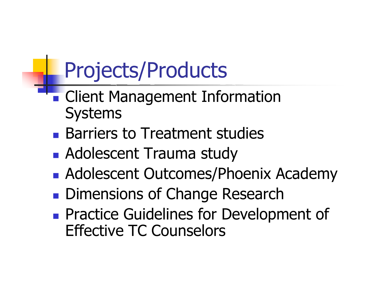## Projects/Products

- **Client Management Information** Systems
- **Barriers to Treatment studies**
- **Adolescent Trauma study**
- **Adolescent Outcomes/Phoenix Academy**
- **Dimensions of Change Research**
- **Practice Guidelines for Development of** Effective TC Counselors